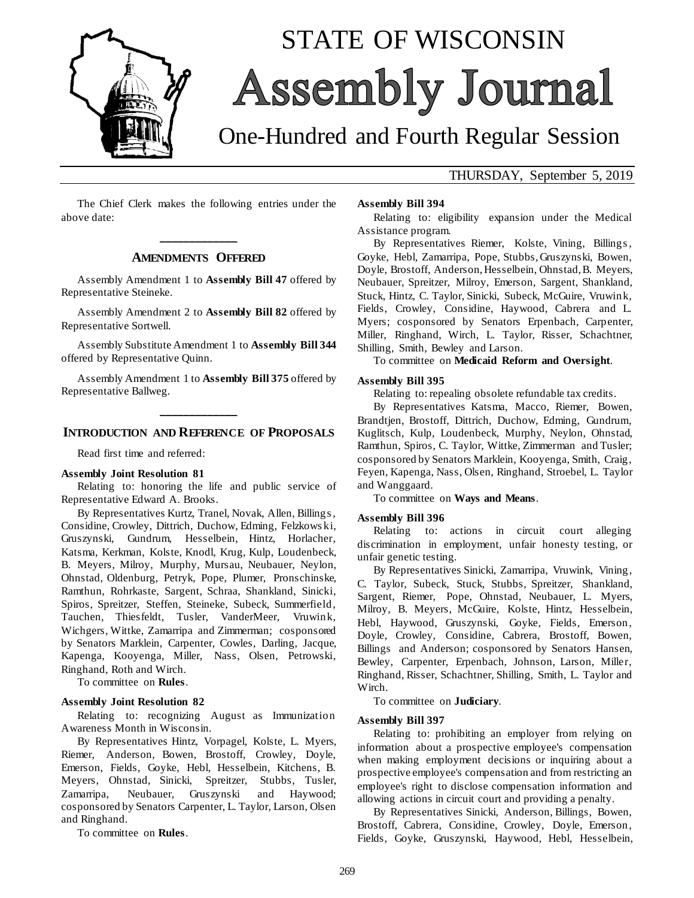

# STATE OF WISCONSIN **Assembly Journal**

# One-Hundred and Fourth Regular Session

THURSDAY, September 5, 2019

The Chief Clerk makes the following entries under the above date:

### **\_\_\_\_\_\_\_\_\_\_\_\_\_ AMENDMENTS OFFERED**

Assembly Amendment 1 to **Assembly Bill 47** offered by Representative Steineke.

Assembly Amendment 2 to **Assembly Bill 82** offered by Representative Sortwell.

Assembly Substitute Amendment 1 to **Assembly Bill 344** offered by Representative Quinn.

Assembly Amendment 1 to **Assembly Bill 375** offered by Representative Ballweg.

## **\_\_\_\_\_\_\_\_\_\_\_\_\_ INTRODUCTION AND REFERENCE OF PROPOSALS**

Read first time and referred:

#### **Assembly Joint Resolution 81**

Relating to: honoring the life and public service of Representative Edward A. Brooks.

By Representatives Kurtz, Tranel, Novak, Allen, Billings , Considine, Crowley, Dittrich, Duchow, Edming, Felzkows ki, Gruszynski, Gundrum, Hesselbein, Hintz, Horlacher, Katsma, Kerkman, Kolste, Knodl, Krug, Kulp, Loudenbeck, B. Meyers, Milroy, Murphy, Mursau, Neubauer, Neylon, Ohnstad, Oldenburg, Petryk, Pope, Plumer, Pronschinske, Ramthun, Rohrkaste, Sargent, Schraa, Shankland, Sinicki, Spiros, Spreitzer, Steffen, Steineke, Subeck, Summerfield, Tauchen, Thiesfeldt, Tusler, VanderMeer, Vruwink, Wichgers, Wittke, Zamarripa and Zimmerman; cosponsored by Senators Marklein, Carpenter, Cowles, Darling, Jacque, Kapenga, Kooyenga, Miller, Nass, Olsen, Petrowski, Ringhand, Roth and Wirch.

To committee on **Rules**.

#### **Assembly Joint Resolution 82**

Relating to: recognizing August as Immunization Awareness Month in Wisconsin.

By Representatives Hintz, Vorpagel, Kolste, L. Myers, Riemer, Anderson, Bowen, Brostoff, Crowley, Doyle, Emerson, Fields, Goyke, Hebl, Hesselbein, Kitchens, B. Meyers, Ohnstad, Sinicki, Spreitzer, Stubbs, Tusler, Zamarripa, Neubauer, Gruszynski and Haywood; cosponsored by Senators Carpenter, L. Taylor, Larson, Olsen and Ringhand.

To committee on **Rules**.

#### **Assembly Bill 394**

Relating to: eligibility expansion under the Medical Assistance program.

By Representatives Riemer, Kolste, Vining, Billings , Goyke, Hebl, Zamarripa, Pope, Stubbs, Gruszynski, Bowen, Doyle, Brostoff, Anderson, Hesselbein, Ohnstad, B. Meyers, Neubauer, Spreitzer, Milroy, Emerson, Sargent, Shankland, Stuck, Hintz, C. Taylor, Sinicki, Subeck, McGuire, Vruwink, Fields, Crowley, Considine, Haywood, Cabrera and L. Myers; cosponsored by Senators Erpenbach, Carpenter, Miller, Ringhand, Wirch, L. Taylor, Risser, Schachtner, Shilling, Smith, Bewley and Larson.

To committee on **Medicaid Reform and Oversight**.

#### **Assembly Bill 395**

Relating to: repealing obsolete refundable tax credits.

By Representatives Katsma, Macco, Riemer, Bowen, Brandtjen, Brostoff, Dittrich, Duchow, Edming, Gundrum, Kuglitsch, Kulp, Loudenbeck, Murphy, Neylon, Ohnstad, Ramthun, Spiros, C. Taylor, Wittke, Zimmerman and Tusler; cosponsored by Senators Marklein, Kooyenga, Smith, Craig, Feyen, Kapenga, Nass, Olsen, Ringhand, Stroebel, L. Taylor and Wanggaard.

To committee on **Ways and Means**.

#### **Assembly Bill 396**

Relating to: actions in circuit court alleging discrimination in employment, unfair honesty testing, or unfair genetic testing.

By Representatives Sinicki, Zamarripa, Vruwink, Vining, C. Taylor, Subeck, Stuck, Stubbs, Spreitzer, Shankland, Sargent, Riemer, Pope, Ohnstad, Neubauer, L. Myers, Milroy, B. Meyers, McGuire, Kolste, Hintz, Hesselbein, Hebl, Haywood, Gruszynski, Goyke, Fields, Emerson, Doyle, Crowley, Considine, Cabrera, Brostoff, Bowen, Billings and Anderson; cosponsored by Senators Hansen, Bewley, Carpenter, Erpenbach, Johnson, Larson, Miller, Ringhand, Risser, Schachtner, Shilling, Smith, L. Taylor and Wirch.

To committee on **Judiciary**.

#### **Assembly Bill 397**

Relating to: prohibiting an employer from relying on information about a prospective employee's compensation when making employment decisions or inquiring about a prospective employee's compensation and from restricting an employee's right to disclose compensation information and allowing actions in circuit court and providing a penalty.

By Representatives Sinicki, Anderson, Billings, Bowen, Brostoff, Cabrera, Considine, Crowley, Doyle, Emerson, Fields, Goyke, Gruszynski, Haywood, Hebl, Hesselbein,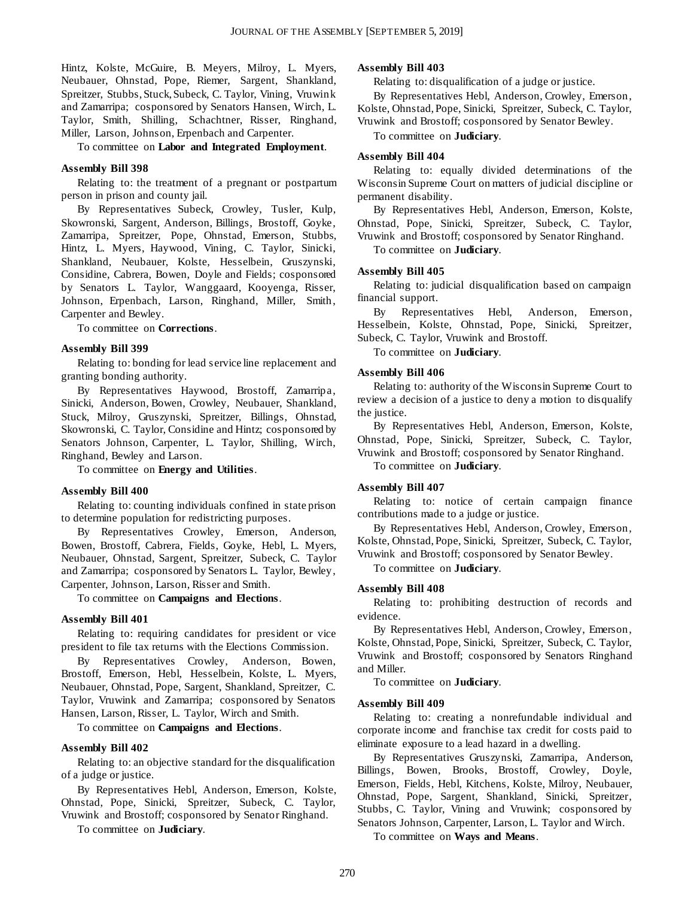Hintz, Kolste, McGuire, B. Meyers, Milroy, L. Myers, Neubauer, Ohnstad, Pope, Riemer, Sargent, Shankland, Spreitzer, Stubbs, Stuck, Subeck, C. Taylor, Vining, Vruwink and Zamarripa; cosponsored by Senators Hansen, Wirch, L. Taylor, Smith, Shilling, Schachtner, Risser, Ringhand, Miller, Larson, Johnson, Erpenbach and Carpenter.

#### To committee on **Labor and Integrated Employment**.

#### **Assembly Bill 398**

Relating to: the treatment of a pregnant or postpartum person in prison and county jail.

By Representatives Subeck, Crowley, Tusler, Kulp, Skowronski, Sargent, Anderson, Billings, Brostoff, Goyke, Zamarripa, Spreitzer, Pope, Ohnstad, Emerson, Stubbs, Hintz, L. Myers, Haywood, Vining, C. Taylor, Sinicki, Shankland, Neubauer, Kolste, Hesselbein, Gruszynski, Considine, Cabrera, Bowen, Doyle and Fields; cosponsored by Senators L. Taylor, Wanggaard, Kooyenga, Risser, Johnson, Erpenbach, Larson, Ringhand, Miller, Smith, Carpenter and Bewley.

To committee on **Corrections**.

#### **Assembly Bill 399**

Relating to: bonding for lead service line replacement and granting bonding authority.

By Representatives Haywood, Brostoff, Zamarripa, Sinicki, Anderson, Bowen, Crowley, Neubauer, Shankland, Stuck, Milroy, Gruszynski, Spreitzer, Billings, Ohnstad, Skowronski, C. Taylor, Considine and Hintz; cosponsored by Senators Johnson, Carpenter, L. Taylor, Shilling, Wirch, Ringhand, Bewley and Larson.

To committee on **Energy and Utilities**.

#### **Assembly Bill 400**

Relating to: counting individuals confined in state prison to determine population for redistricting purposes.

By Representatives Crowley, Emerson, Anderson, Bowen, Brostoff, Cabrera, Fields, Goyke, Hebl, L. Myers, Neubauer, Ohnstad, Sargent, Spreitzer, Subeck, C. Taylor and Zamarripa; cosponsored by Senators L. Taylor, Bewley, Carpenter, Johnson, Larson, Risser and Smith.

To committee on **Campaigns and Elections**.

#### **Assembly Bill 401**

Relating to: requiring candidates for president or vice president to file tax returns with the Elections Commission.

By Representatives Crowley, Anderson, Bowen, Brostoff, Emerson, Hebl, Hesselbein, Kolste, L. Myers, Neubauer, Ohnstad, Pope, Sargent, Shankland, Spreitzer, C. Taylor, Vruwink and Zamarripa; cosponsored by Senators Hansen, Larson, Risser, L. Taylor, Wirch and Smith.

To committee on **Campaigns and Elections**.

#### **Assembly Bill 402**

Relating to: an objective standard for the disqualification of a judge or justice.

By Representatives Hebl, Anderson, Emerson, Kolste, Ohnstad, Pope, Sinicki, Spreitzer, Subeck, C. Taylor, Vruwink and Brostoff; cosponsored by Senator Ringhand.

To committee on **Judiciary**.

#### **Assembly Bill 403**

Relating to: disqualification of a judge or justice.

By Representatives Hebl, Anderson, Crowley, Emerson, Kolste, Ohnstad, Pope, Sinicki, Spreitzer, Subeck, C. Taylor, Vruwink and Brostoff; cosponsored by Senator Bewley.

To committee on **Judiciary**.

#### **Assembly Bill 404**

Relating to: equally divided determinations of the Wisconsin Supreme Court on matters of judicial discipline or permanent disability.

By Representatives Hebl, Anderson, Emerson, Kolste, Ohnstad, Pope, Sinicki, Spreitzer, Subeck, C. Taylor, Vruwink and Brostoff; cosponsored by Senator Ringhand.

To committee on **Judiciary**.

#### **Assembly Bill 405**

Relating to: judicial disqualification based on campaign financial support.

By Representatives Hebl, Anderson, Emerson, Hesselbein, Kolste, Ohnstad, Pope, Sinicki, Spreitzer, Subeck, C. Taylor, Vruwink and Brostoff.

To committee on **Judiciary**.

#### **Assembly Bill 406**

Relating to: authority of the Wisconsin Supreme Court to review a decision of a justice to deny a motion to disqualify the justice.

By Representatives Hebl, Anderson, Emerson, Kolste, Ohnstad, Pope, Sinicki, Spreitzer, Subeck, C. Taylor, Vruwink and Brostoff; cosponsored by Senator Ringhand.

To committee on **Judiciary**.

#### **Assembly Bill 407**

Relating to: notice of certain campaign finance contributions made to a judge or justice.

By Representatives Hebl, Anderson, Crowley, Emerson, Kolste, Ohnstad, Pope, Sinicki, Spreitzer, Subeck, C. Taylor, Vruwink and Brostoff; cosponsored by Senator Bewley.

To committee on **Judiciary**.

#### **Assembly Bill 408**

Relating to: prohibiting destruction of records and evidence.

By Representatives Hebl, Anderson, Crowley, Emerson, Kolste, Ohnstad, Pope, Sinicki, Spreitzer, Subeck, C. Taylor, Vruwink and Brostoff; cosponsored by Senators Ringhand and Miller.

To committee on **Judiciary**.

#### **Assembly Bill 409**

Relating to: creating a nonrefundable individual and corporate income and franchise tax credit for costs paid to eliminate exposure to a lead hazard in a dwelling.

By Representatives Gruszynski, Zamarripa, Anderson, Billings, Bowen, Brooks, Brostoff, Crowley, Doyle, Emerson, Fields, Hebl, Kitchens, Kolste, Milroy, Neubauer, Ohnstad, Pope, Sargent, Shankland, Sinicki, Spreitzer, Stubbs, C. Taylor, Vining and Vruwink; cosponsored by Senators Johnson, Carpenter, Larson, L. Taylor and Wirch.

To committee on **Ways and Means**.